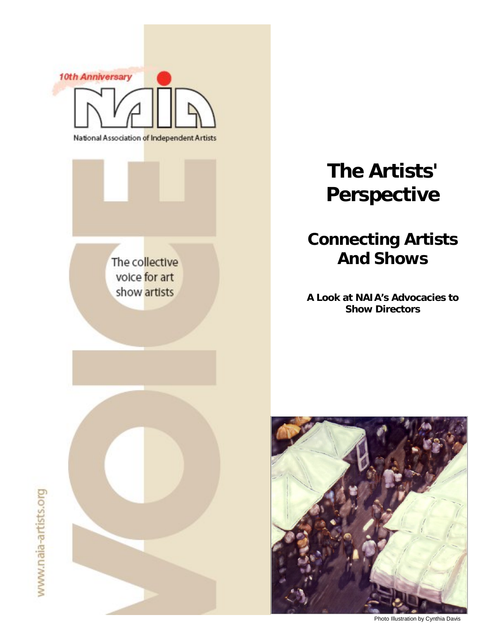



# **The Artists' Perspective**

# **Connecting Artists And Shows**

**A Look at NAIA's Advocacies to Show Directors** 



Photo Illustration by Cynthia Davis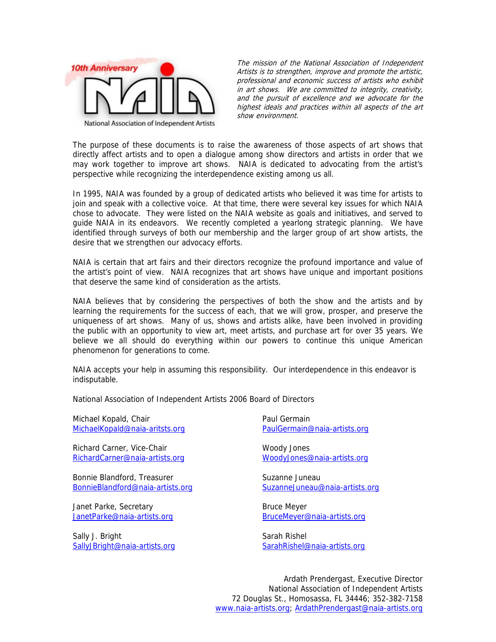

The mission of the National Association of Independent Artists is to strengthen, improve and promote the artistic, professional and economic success of artists who exhibit in art shows. We are committed to integrity, creativity, and the pursuit of excellence and we advocate for the highest ideals and practices within all aspects of the art show environment.

The purpose of these documents is to raise the awareness of those aspects of art shows that directly affect artists and to open a dialogue among show directors and artists in order that we may work together to improve art shows. NAIA is dedicated to advocating from the artist's perspective while recognizing the interdependence existing among us all.

In 1995, NAIA was founded by a group of dedicated artists who believed it was time for artists to join and speak with a collective voice. At that time, there were several key issues for which NAIA chose to advocate. They were listed on the NAIA website as goals and initiatives, and served to guide NAIA in its endeavors. We recently completed a yearlong strategic planning. We have identified through surveys of both our membership and the larger group of art show artists, the desire that we strengthen our advocacy efforts.

NAIA is certain that art fairs and their directors recognize the profound importance and value of the artist's point of view. NAIA recognizes that art shows have unique and important positions that deserve the same kind of consideration as the artists.

NAIA believes that by considering the perspectives of both the show and the artists and by learning the requirements for the success of each, that we will grow, prosper, and preserve the uniqueness of art shows. Many of us, shows and artists alike, have been involved in providing the public with an opportunity to view art, meet artists, and purchase art for over 35 years. We believe we all should do everything within our powers to continue this unique American phenomenon for generations to come.

NAIA accepts your help in assuming this responsibility. Our interdependence in this endeavor is indisputable.

National Association of Independent Artists 2006 Board of Directors

Michael Kopald, Chair MichaelKopald@naia-aritsts.org

Richard Carner, Vice-Chair RichardCarner@naia-artists.org

Bonnie Blandford, Treasurer BonnieBlandford@naia-artists.org

Janet Parke, Secretary JanetParke@naia-artists.org

Sally J. Bright SallyJBright@naia-artists.org Paul Germain PaulGermain@naia-artists.org

Woody Jones WoodyJones@naia-artists.org

Suzanne Juneau SuzanneJuneau@naia-artists.org

Bruce Meyer BruceMeyer@naia-artists.org

Sarah Rishel SarahRishel@naia-artists.org

Ardath Prendergast, Executive Director National Association of Independent Artists 72 Douglas St., Homosassa, FL 34446; 352-382-7158 www.naia-artists.org; ArdathPrendergast@naia-artists.org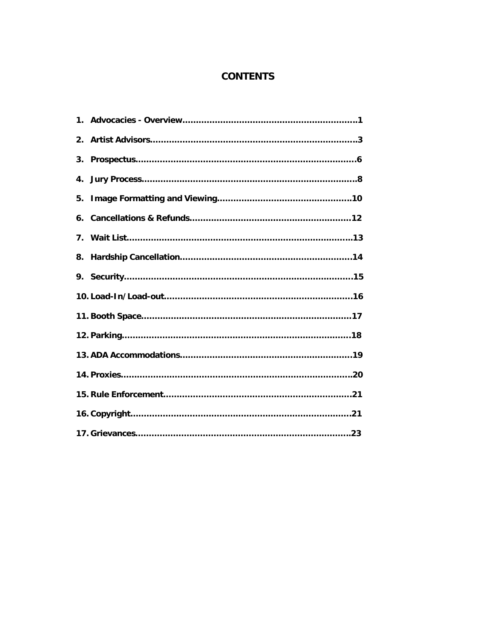# **CONTENTS**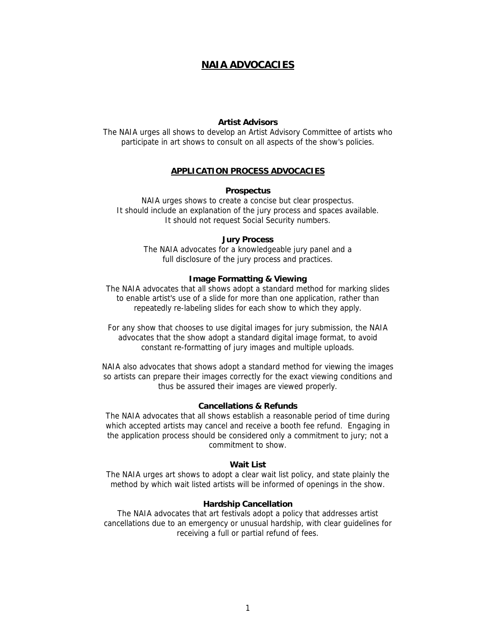# **NAIA ADVOCACIES**

#### **Artist Advisors**

The NAIA urges all shows to develop an Artist Advisory Committee of artists who participate in art shows to consult on all aspects of the show's policies.

#### **APPLICATION PROCESS ADVOCACIES**

#### **Prospectus**

NAIA urges shows to create a concise but clear prospectus. It should include an explanation of the jury process and spaces available. It should not request Social Security numbers.

#### **Jury Process**

The NAIA advocates for a knowledgeable jury panel and a full disclosure of the jury process and practices.

#### **Image Formatting & Viewing**

The NAIA advocates that all shows adopt a standard method for marking slides to enable artist's use of a slide for more than one application, rather than repeatedly re-labeling slides for each show to which they apply.

For any show that chooses to use digital images for jury submission, the NAIA advocates that the show adopt a standard digital image format, to avoid constant re-formatting of jury images and multiple uploads.

NAIA also advocates that shows adopt a standard method for viewing the images so artists can prepare their images correctly for the exact viewing conditions and thus be assured their images are viewed properly.

#### **Cancellations & Refunds**

The NAIA advocates that all shows establish a reasonable period of time during which accepted artists may cancel and receive a booth fee refund. Engaging in the application process should be considered only a commitment to jury; not a commitment to show.

#### **Wait List**

The NAIA urges art shows to adopt a clear wait list policy, and state plainly the method by which wait listed artists will be informed of openings in the show.

#### **Hardship Cancellation**

The NAIA advocates that art festivals adopt a policy that addresses artist cancellations due to an emergency or unusual hardship, with clear guidelines for receiving a full or partial refund of fees.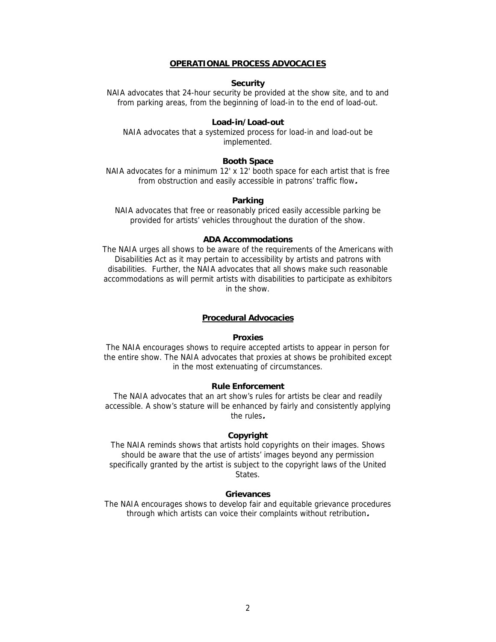#### **OPERATIONAL PROCESS ADVOCACIES**

#### **Security**

NAIA advocates that 24-hour security be provided at the show site, and to and from parking areas, from the beginning of load-in to the end of load-out.

#### **Load-in/Load-out**

NAIA advocates that a systemized process for load-in and load-out be implemented.

#### **Booth Space**

NAIA advocates for a minimum 12' x 12' booth space for each artist that is free from obstruction and easily accessible in patrons' traffic flow**.**

#### **Parking**

NAIA advocates that free or reasonably priced easily accessible parking be provided for artists' vehicles throughout the duration of the show.

#### **ADA Accommodations**

The NAIA urges all shows to be aware of the requirements of the Americans with Disabilities Act as it may pertain to accessibility by artists and patrons with disabilities. Further, the NAIA advocates that all shows make such reasonable accommodations as will permit artists with disabilities to participate as exhibitors in the show.

#### **Procedural Advocacies**

#### **Proxies**

The NAIA encourages shows to require accepted artists to appear in person for the entire show. The NAIA advocates that proxies at shows be prohibited except in the most extenuating of circumstances.

#### **Rule Enforcement**

The NAIA advocates that an art show's rules for artists be clear and readily accessible. A show's stature will be enhanced by fairly and consistently applying the rules**.** 

#### **Copyright**

The NAIA reminds shows that artists hold copyrights on their images. Shows should be aware that the use of artists' images beyond any permission specifically granted by the artist is subject to the copyright laws of the United **States** 

#### **Grievances**

The NAIA encourages shows to develop fair and equitable grievance procedures through which artists can voice their complaints without retribution**.**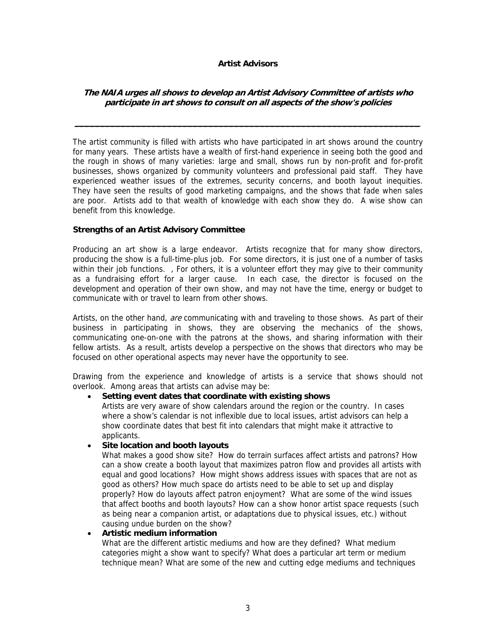## **Artist Advisors**

# **The NAIA urges all shows to develop an Artist Advisory Committee of artists who participate in art shows to consult on all aspects of the show's policies**

**\_\_\_\_\_\_\_\_\_\_\_\_\_\_\_\_\_\_\_\_\_\_\_\_\_\_\_\_\_\_\_\_\_\_\_\_\_\_\_\_\_\_\_\_\_\_\_\_\_\_\_\_\_\_\_\_\_\_\_\_\_\_\_\_\_\_\_**

The artist community is filled with artists who have participated in art shows around the country for many years. These artists have a wealth of first-hand experience in seeing both the good and the rough in shows of many varieties: large and small, shows run by non-profit and for-profit businesses, shows organized by community volunteers and professional paid staff. They have experienced weather issues of the extremes, security concerns, and booth layout inequities. They have seen the results of good marketing campaigns, and the shows that fade when sales are poor. Artists add to that wealth of knowledge with each show they do. A wise show can benefit from this knowledge.

## **Strengths of an Artist Advisory Committee**

Producing an art show is a large endeavor. Artists recognize that for many show directors, producing the show is a full-time-plus job. For some directors, it is just one of a number of tasks within their job functions. , For others, it is a volunteer effort they may give to their community as a fundraising effort for a larger cause. In each case, the director is focused on the development and operation of their own show, and may not have the time, energy or budget to communicate with or travel to learn from other shows.

Artists, on the other hand, are communicating with and traveling to those shows. As part of their business in participating in shows, they are observing the mechanics of the shows, communicating one-on-one with the patrons at the shows, and sharing information with their fellow artists. As a result, artists develop a perspective on the shows that directors who may be focused on other operational aspects may never have the opportunity to see.

Drawing from the experience and knowledge of artists is a service that shows should not overlook. Among areas that artists can advise may be:

# • **Setting event dates that coordinate with existing shows**

Artists are very aware of show calendars around the region or the country. In cases where a show's calendar is not inflexible due to local issues, artist advisors can help a show coordinate dates that best fit into calendars that might make it attractive to applicants.

#### • **Site location and booth layouts**

What makes a good show site? How do terrain surfaces affect artists and patrons? How can a show create a booth layout that maximizes patron flow and provides all artists with equal and good locations? How might shows address issues with spaces that are not as good as others? How much space do artists need to be able to set up and display properly? How do layouts affect patron enjoyment? What are some of the wind issues that affect booths and booth layouts? How can a show honor artist space requests (such as being near a companion artist, or adaptations due to physical issues, etc.) without causing undue burden on the show?

#### • **Artistic medium information**

What are the different artistic mediums and how are they defined? What medium categories might a show want to specify? What does a particular art term or medium technique mean? What are some of the new and cutting edge mediums and techniques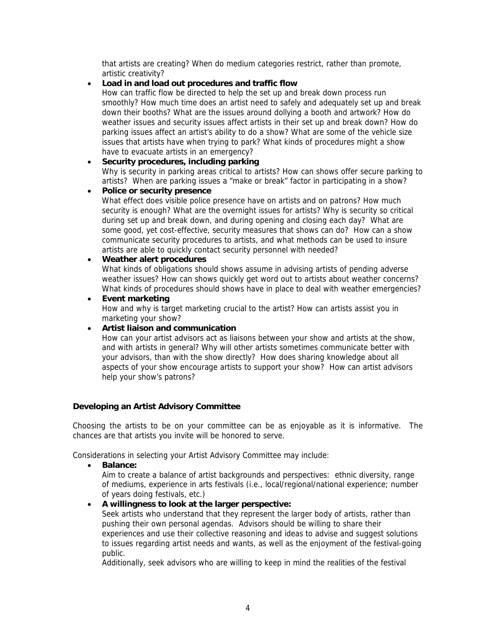that artists are creating? When do medium categories restrict, rather than promote, artistic creativity?

# • **Load in and load out procedures and traffic flow**

How can traffic flow be directed to help the set up and break down process run smoothly? How much time does an artist need to safely and adequately set up and break down their booths? What are the issues around dollying a booth and artwork? How do weather issues and security issues affect artists in their set up and break down? How do parking issues affect an artist's ability to do a show? What are some of the vehicle size issues that artists have when trying to park? What kinds of procedures might a show have to evacuate artists in an emergency?

# • **Security procedures, including parking**

Why is security in parking areas critical to artists? How can shows offer secure parking to artists? When are parking issues a "make or break" factor in participating in a show?

# • **Police or security presence**

What effect does visible police presence have on artists and on patrons? How much security is enough? What are the overnight issues for artists? Why is security so critical during set up and break down, and during opening and closing each day? What are some good, yet cost-effective, security measures that shows can do? How can a show communicate security procedures to artists, and what methods can be used to insure artists are able to quickly contact security personnel with needed?

# • **Weather alert procedures**

What kinds of obligations should shows assume in advising artists of pending adverse weather issues? How can shows quickly get word out to artists about weather concerns? What kinds of procedures should shows have in place to deal with weather emergencies?

• **Event marketing**  How and why is target marketing crucial to the artist? How can artists assist you in marketing your show?

# • **Artist liaison and communication**

How can your artist advisors act as liaisons between your show and artists at the show, and with artists in general? Why will other artists sometimes communicate better with your advisors, than with the show directly? How does sharing knowledge about all aspects of your show encourage artists to support your show? How can artist advisors help your show's patrons?

# **Developing an Artist Advisory Committee**

Choosing the artists to be on your committee can be as enjoyable as it is informative. The chances are that artists you invite will be honored to serve.

Considerations in selecting your Artist Advisory Committee may include:

• **Balance:** 

Aim to create a balance of artist backgrounds and perspectives: ethnic diversity, range of mediums, experience in arts festivals (i.e., local/regional/national experience; number of years doing festivals, etc.)

# • **A willingness to look at the larger perspective:**

Seek artists who understand that they represent the larger body of artists, rather than pushing their own personal agendas. Advisors should be willing to share their experiences and use their collective reasoning and ideas to advise and suggest solutions to issues regarding artist needs and wants, as well as the enjoyment of the festival-going public.

Additionally, seek advisors who are willing to keep in mind the realities of the festival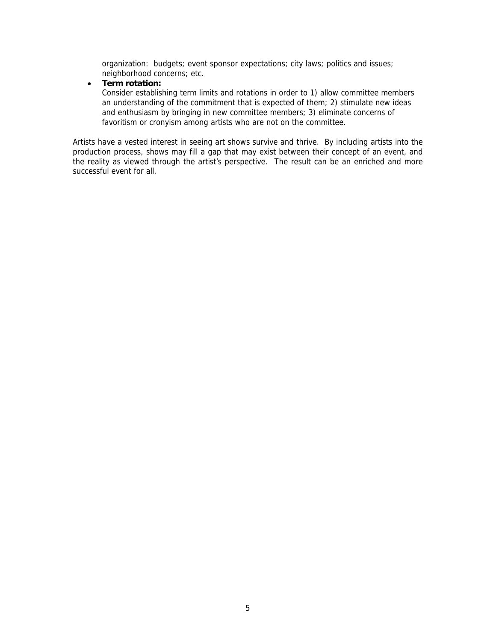organization: budgets; event sponsor expectations; city laws; politics and issues; neighborhood concerns; etc.

#### • **Term rotation:**

Consider establishing term limits and rotations in order to 1) allow committee members an understanding of the commitment that is expected of them; 2) stimulate new ideas and enthusiasm by bringing in new committee members; 3) eliminate concerns of favoritism or cronyism among artists who are not on the committee.

Artists have a vested interest in seeing art shows survive and thrive. By including artists into the production process, shows may fill a gap that may exist between their concept of an event, and the reality as viewed through the artist's perspective. The result can be an enriched and more successful event for all.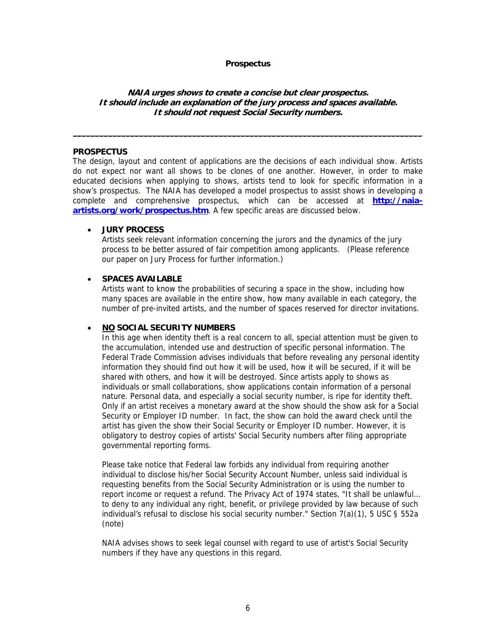#### **Prospectus**

#### **NAIA urges shows to create a concise but clear prospectus. It should include an explanation of the jury process and spaces available. It should not request Social Security numbers.**

 $\_$  , and the set of the set of the set of the set of the set of the set of the set of the set of the set of the set of the set of the set of the set of the set of the set of the set of the set of the set of the set of th

#### **PROSPECTUS**

The design, layout and content of applications are the decisions of each individual show. Artists do not expect nor want all shows to be clones of one another. However, in order to make educated decisions when applying to shows, artists tend to look for specific information in a show's prospectus. The NAIA has developed a model prospectus to assist shows in developing a complete and comprehensive prospectus, which can be accessed at **http://naiaartists.org/work/prospectus.htm**. A few specific areas are discussed below.

#### • **JURY PROCESS**

Artists seek relevant information concerning the jurors and the dynamics of the jury process to be better assured of fair competition among applicants. (Please reference our paper on Jury Process for further information.)

#### • **SPACES AVAILABLE**

Artists want to know the probabilities of securing a space in the show, including how many spaces are available in the entire show, how many available in each category, the number of pre-invited artists, and the number of spaces reserved for director invitations.

#### • **NO SOCIAL SECURITY NUMBERS**

In this age when identity theft is a real concern to all, special attention must be given to the accumulation, intended use and destruction of specific personal information. The Federal Trade Commission advises individuals that before revealing any personal identity information they should find out how it will be used, how it will be secured, if it will be shared with others, and how it will be destroyed. Since artists apply to shows as individuals or small collaborations, show applications contain information of a personal nature. Personal data, and especially a social security number, is ripe for identity theft. Only if an artist receives a monetary award at the show should the show ask for a Social Security or Employer ID number. In fact, the show can hold the award check until the artist has given the show their Social Security or Employer ID number. However, it is obligatory to destroy copies of artists' Social Security numbers after filing appropriate governmental reporting forms.

Please take notice that Federal law forbids any individual from requiring another individual to disclose his/her Social Security Account Number, unless said individual is requesting benefits from the Social Security Administration or is using the number to report income or request a refund. The Privacy Act of 1974 states, "It shall be unlawful… to deny to any individual any right, benefit, or privilege provided by law because of such individual's refusal to disclose his social security number." Section 7(a)(1), 5 USC § 552a (note)

NAIA advises shows to seek legal counsel with regard to use of artist's Social Security numbers if they have any questions in this regard.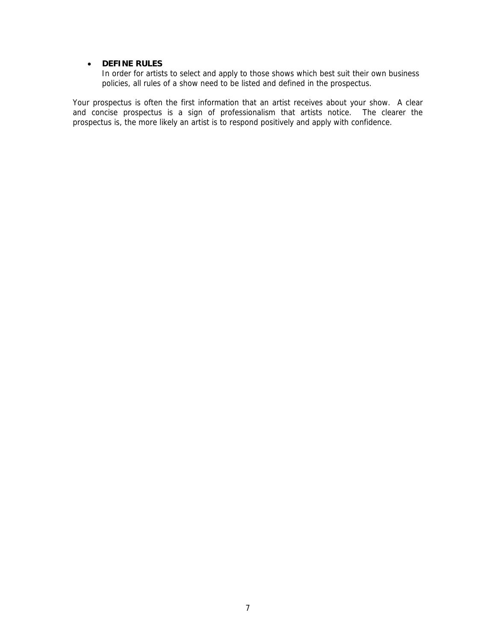# • **DEFINE RULES**

In order for artists to select and apply to those shows which best suit their own business policies, all rules of a show need to be listed and defined in the prospectus.

Your prospectus is often the first information that an artist receives about your show. A clear and concise prospectus is a sign of professionalism that artists notice. The clearer the prospectus is, the more likely an artist is to respond positively and apply with confidence.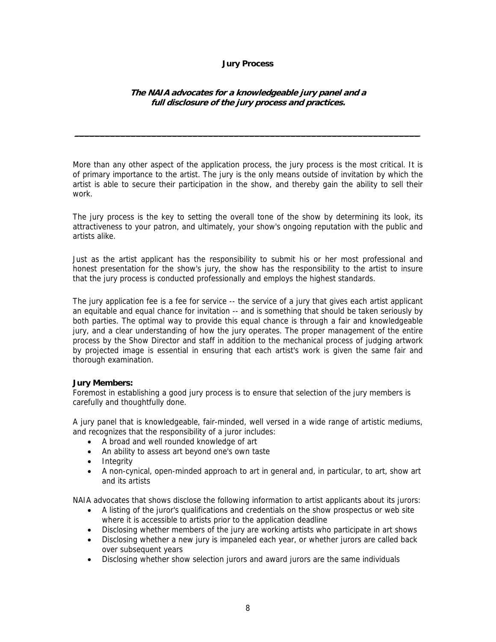#### **Jury Process**

# **The NAIA advocates for a knowledgeable jury panel and a full disclosure of the jury process and practices.**

**\_\_\_\_\_\_\_\_\_\_\_\_\_\_\_\_\_\_\_\_\_\_\_\_\_\_\_\_\_\_\_\_\_\_\_\_\_\_\_\_\_\_\_\_\_\_\_\_\_\_\_\_\_\_\_\_\_\_\_\_\_\_\_\_\_\_\_**

More than any other aspect of the application process, the jury process is the most critical. It is of primary importance to the artist. The jury is the only means outside of invitation by which the artist is able to secure their participation in the show, and thereby gain the ability to sell their work.

The jury process is the key to setting the overall tone of the show by determining its look, its attractiveness to your patron, and ultimately, your show's ongoing reputation with the public and artists alike.

Just as the artist applicant has the responsibility to submit his or her most professional and honest presentation for the show's jury, the show has the responsibility to the artist to insure that the jury process is conducted professionally and employs the highest standards.

The jury application fee is a fee for service -- the service of a jury that gives each artist applicant an equitable and equal chance for invitation -- and is something that should be taken seriously by both parties. The optimal way to provide this equal chance is through a fair and knowledgeable jury, and a clear understanding of how the jury operates. The proper management of the entire process by the Show Director and staff in addition to the mechanical process of judging artwork by projected image is essential in ensuring that each artist's work is given the same fair and thorough examination.

# **Jury Members:**

Foremost in establishing a good jury process is to ensure that selection of the jury members is carefully and thoughtfully done.

A jury panel that is knowledgeable, fair-minded, well versed in a wide range of artistic mediums, and recognizes that the responsibility of a juror includes:

- A broad and well rounded knowledge of art
- An ability to assess art beyond one's own taste
- Integrity
- A non-cynical, open-minded approach to art in general and, in particular, to art, show art and its artists

NAIA advocates that shows disclose the following information to artist applicants about its jurors:

- A listing of the juror's qualifications and credentials on the show prospectus or web site where it is accessible to artists prior to the application deadline
- Disclosing whether members of the jury are working artists who participate in art shows
- Disclosing whether a new jury is impaneled each year, or whether jurors are called back over subsequent years
- Disclosing whether show selection jurors and award jurors are the same individuals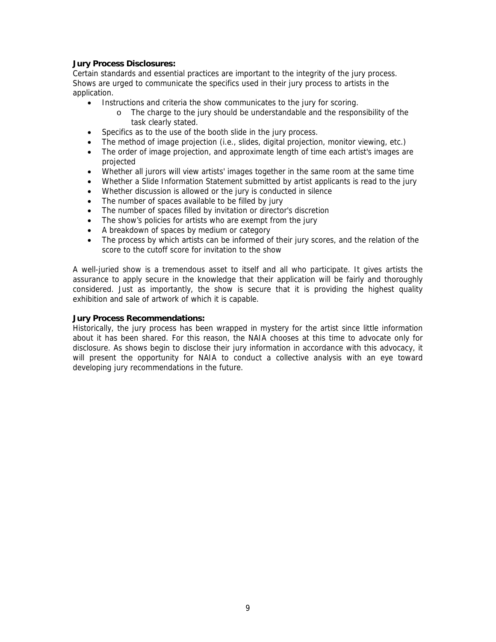# **Jury Process Disclosures:**

Certain standards and essential practices are important to the integrity of the jury process. Shows are urged to communicate the specifics used in their jury process to artists in the application.

- Instructions and criteria the show communicates to the jury for scoring.
	- o The charge to the jury should be understandable and the responsibility of the task clearly stated.
- Specifics as to the use of the booth slide in the jury process.
- The method of image projection (i.e., slides, digital projection, monitor viewing, etc.)
- The order of image projection, and approximate length of time each artist's images are projected
- Whether all jurors will view artists' images together in the same room at the same time
- Whether a Slide Information Statement submitted by artist applicants is read to the jury
- Whether discussion is allowed or the jury is conducted in silence
- The number of spaces available to be filled by jury
- The number of spaces filled by invitation or director's discretion
- The show's policies for artists who are exempt from the jury
- A breakdown of spaces by medium or category
- The process by which artists can be informed of their jury scores, and the relation of the score to the cutoff score for invitation to the show

A well-juried show is a tremendous asset to itself and all who participate. It gives artists the assurance to apply secure in the knowledge that their application will be fairly and thoroughly considered. Just as importantly, the show is secure that it is providing the highest quality exhibition and sale of artwork of which it is capable.

#### **Jury Process Recommendations:**

Historically, the jury process has been wrapped in mystery for the artist since little information about it has been shared. For this reason, the NAIA chooses at this time to advocate only for disclosure. As shows begin to disclose their jury information in accordance with this advocacy, it will present the opportunity for NAIA to conduct a collective analysis with an eye toward developing jury recommendations in the future.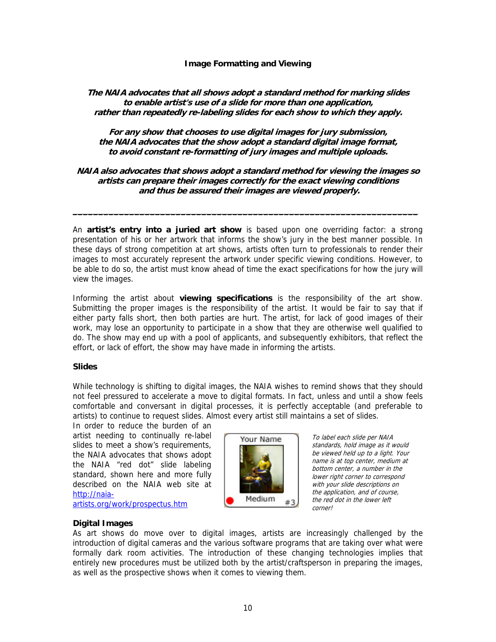## **Image Formatting and Viewing**

# **The NAIA advocates that all shows adopt a standard method for marking slides to enable artist's use of a slide for more than one application, rather than repeatedly re-labeling slides for each show to which they apply.**

# **For any show that chooses to use digital images for jury submission, the NAIA advocates that the show adopt a standard digital image format, to avoid constant re-formatting of jury images and multiple uploads.**

# **NAIA also advocates that shows adopt a standard method for viewing the images so artists can prepare their images correctly for the exact viewing conditions and thus be assured their images are viewed properly.**

**\_\_\_\_\_\_\_\_\_\_\_\_\_\_\_\_\_\_\_\_\_\_\_\_\_\_\_\_\_\_\_\_\_\_\_\_\_\_\_\_\_\_\_\_\_\_\_\_\_\_\_\_\_\_\_\_\_\_\_\_\_\_\_\_\_\_\_**

An **artist's entry into a juried art show** is based upon one overriding factor: a strong presentation of his or her artwork that informs the show's jury in the best manner possible. In these days of strong competition at art shows, artists often turn to professionals to render their images to most accurately represent the artwork under specific viewing conditions. However, to be able to do so, the artist must know ahead of time the exact specifications for how the jury will view the images.

Informing the artist about **viewing specifications** is the responsibility of the art show. Submitting the proper images is the responsibility of the artist. It would be fair to say that if either party falls short, then both parties are hurt. The artist, for lack of good images of their work, may lose an opportunity to participate in a show that they are otherwise well qualified to do. The show may end up with a pool of applicants, and subsequently exhibitors, that reflect the effort, or lack of effort, the show may have made in informing the artists.

#### **Slides**

While technology is shifting to digital images, the NAIA wishes to remind shows that they should not feel pressured to accelerate a move to digital formats. In fact, unless and until a show feels comfortable and conversant in digital processes, it is perfectly acceptable (and preferable to artists) to continue to request slides. Almost every artist still maintains a set of slides.

In order to reduce the burden of an artist needing to continually re-label slides to meet a show's requirements, the NAIA advocates that shows adopt the NAIA "red dot" slide labeling standard, shown here and more fully described on the NAIA web site at http://naia-

artists.org/work/prospectus.htm



To label each slide per NAIA standards, hold image as it would be viewed held up to a light. Your name is at top center, medium at bottom center, a number in the lower right corner to correspond with your slide descriptions on the application, and of course, the red dot in the lower left corner!

#### **Digital Images**

As art shows do move over to digital images, artists are increasingly challenged by the introduction of digital cameras and the various software programs that are taking over what were formally dark room activities. The introduction of these changing technologies implies that entirely new procedures must be utilized both by the artist/craftsperson in preparing the images, as well as the prospective shows when it comes to viewing them.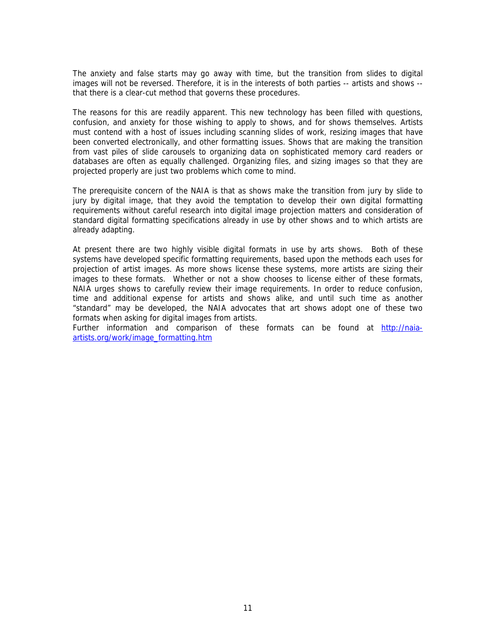The anxiety and false starts may go away with time, but the transition from slides to digital images will not be reversed. Therefore, it is in the interests of both parties -- artists and shows - that there is a clear-cut method that governs these procedures.

The reasons for this are readily apparent. This new technology has been filled with questions, confusion, and anxiety for those wishing to apply to shows, and for shows themselves. Artists must contend with a host of issues including scanning slides of work, resizing images that have been converted electronically, and other formatting issues. Shows that are making the transition from vast piles of slide carousels to organizing data on sophisticated memory card readers or databases are often as equally challenged. Organizing files, and sizing images so that they are projected properly are just two problems which come to mind.

The prerequisite concern of the NAIA is that as shows make the transition from jury by slide to jury by digital image, that they avoid the temptation to develop their own digital formatting requirements without careful research into digital image projection matters and consideration of standard digital formatting specifications already in use by other shows and to which artists are already adapting.

At present there are two highly visible digital formats in use by arts shows. Both of these systems have developed specific formatting requirements, based upon the methods each uses for projection of artist images. As more shows license these systems, more artists are sizing their images to these formats. Whether or not a show chooses to license either of these formats, NAIA urges shows to carefully review their image requirements. In order to reduce confusion, time and additional expense for artists and shows alike, and until such time as another "standard" may be developed, the NAIA advocates that art shows adopt one of these two formats when asking for digital images from artists.

Further information and comparison of these formats can be found at http://naiaartists.org/work/image\_formatting.htm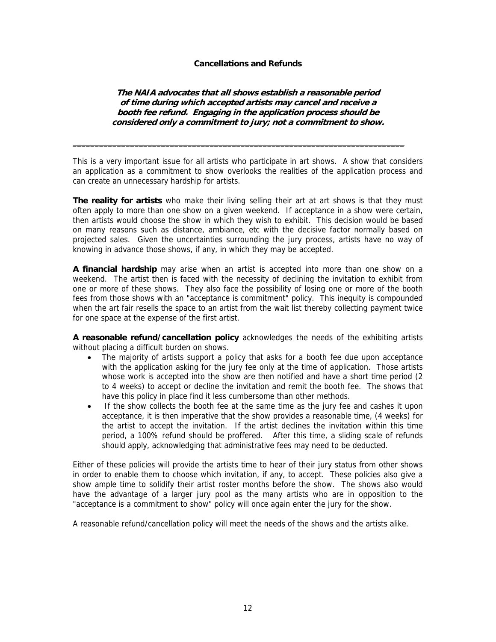#### **Cancellations and Refunds**

## **The NAIA advocates that all shows establish a reasonable period of time during which accepted artists may cancel and receive a booth fee refund. Engaging in the application process should be considered only a commitment to jury; not a commitment to show.**

This is a very important issue for all artists who participate in art shows. A show that considers an application as a commitment to show overlooks the realities of the application process and can create an unnecessary hardship for artists.

 $\_$  . The contribution of the contribution of the contribution of the contribution of  $\mathcal{L}_\text{max}$ 

**The reality for artists** who make their living selling their art at art shows is that they must often apply to more than one show on a given weekend. If acceptance in a show were certain, then artists would choose the show in which they wish to exhibit. This decision would be based on many reasons such as distance, ambiance, etc with the decisive factor normally based on projected sales. Given the uncertainties surrounding the jury process, artists have no way of knowing in advance those shows, if any, in which they may be accepted.

**A financial hardship** may arise when an artist is accepted into more than one show on a weekend. The artist then is faced with the necessity of declining the invitation to exhibit from one or more of these shows. They also face the possibility of losing one or more of the booth fees from those shows with an "acceptance is commitment" policy. This inequity is compounded when the art fair resells the space to an artist from the wait list thereby collecting payment twice for one space at the expense of the first artist.

**A reasonable refund/cancellation policy** acknowledges the needs of the exhibiting artists without placing a difficult burden on shows.

- The majority of artists support a policy that asks for a booth fee due upon acceptance with the application asking for the jury fee only at the time of application. Those artists whose work is accepted into the show are then notified and have a short time period (2 to 4 weeks) to accept or decline the invitation and remit the booth fee. The shows that have this policy in place find it less cumbersome than other methods.
- If the show collects the booth fee at the same time as the jury fee and cashes it upon acceptance, it is then imperative that the show provides a reasonable time, (4 weeks) for the artist to accept the invitation. If the artist declines the invitation within this time period, a 100% refund should be proffered. After this time, a sliding scale of refunds should apply, acknowledging that administrative fees may need to be deducted.

Either of these policies will provide the artists time to hear of their jury status from other shows in order to enable them to choose which invitation, if any, to accept. These policies also give a show ample time to solidify their artist roster months before the show. The shows also would have the advantage of a larger jury pool as the many artists who are in opposition to the "acceptance is a commitment to show" policy will once again enter the jury for the show.

A reasonable refund/cancellation policy will meet the needs of the shows and the artists alike.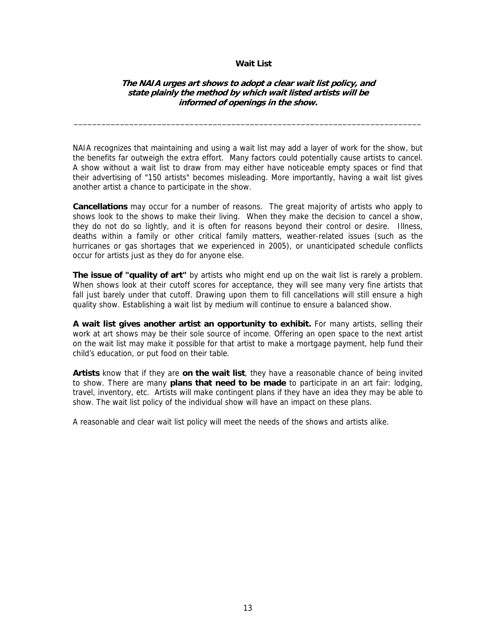#### **Wait List**

#### **The NAIA urges art shows to adopt a clear wait list policy, and state plainly the method by which wait listed artists will be informed of openings in the show.**

\_\_\_\_\_\_\_\_\_\_\_\_\_\_\_\_\_\_\_\_\_\_\_\_\_\_\_\_\_\_\_\_\_\_\_\_\_\_\_\_\_\_\_\_\_\_\_\_\_\_\_\_\_\_\_\_\_\_\_\_\_\_\_\_\_\_\_\_\_\_\_\_\_\_\_

NAIA recognizes that maintaining and using a wait list may add a layer of work for the show, but the benefits far outweigh the extra effort. Many factors could potentially cause artists to cancel. A show without a wait list to draw from may either have noticeable empty spaces or find that their advertising of "150 artists" becomes misleading. More importantly, having a wait list gives another artist a chance to participate in the show.

**Cancellations** may occur for a number of reasons. The great majority of artists who apply to shows look to the shows to make their living. When they make the decision to cancel a show, they do not do so lightly, and it is often for reasons beyond their control or desire. Illness, deaths within a family or other critical family matters, weather-related issues (such as the hurricanes or gas shortages that we experienced in 2005), or unanticipated schedule conflicts occur for artists just as they do for anyone else.

**The issue of "quality of art"** by artists who might end up on the wait list is rarely a problem. When shows look at their cutoff scores for acceptance, they will see many very fine artists that fall just barely under that cutoff. Drawing upon them to fill cancellations will still ensure a high quality show. Establishing a wait list by medium will continue to ensure a balanced show.

**A wait list gives another artist an opportunity to exhibit.** For many artists, selling their work at art shows may be their sole source of income. Offering an open space to the next artist on the wait list may make it possible for that artist to make a mortgage payment, help fund their child's education, or put food on their table.

**Artists** know that if they are **on the wait list**, they have a reasonable chance of being invited to show. There are many **plans that need to be made** to participate in an art fair: lodging, travel, inventory, etc. Artists will make contingent plans if they have an idea they may be able to show. The wait list policy of the individual show will have an impact on these plans.

A reasonable and clear wait list policy will meet the needs of the shows and artists alike.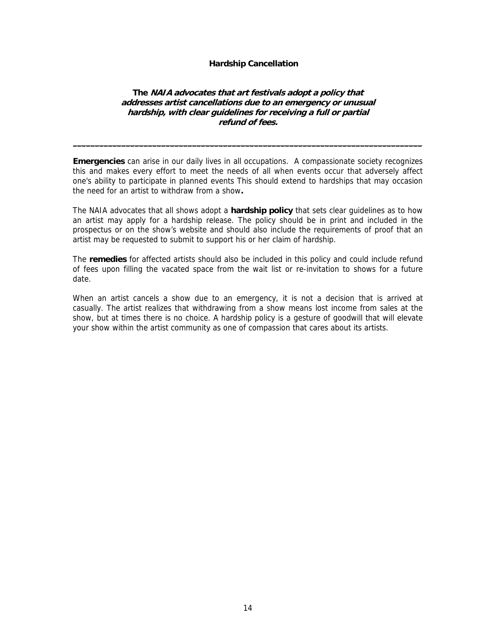#### **Hardship Cancellation**

# **The NAIA advocates that art festivals adopt a policy that addresses artist cancellations due to an emergency or unusual hardship, with clear guidelines for receiving a full or partial refund of fees.**

**Emergencies** can arise in our daily lives in all occupations. A compassionate society recognizes this and makes every effort to meet the needs of all when events occur that adversely affect one's ability to participate in planned events This should extend to hardships that may occasion the need for an artist to withdraw from a show**.** 

 $\_$  , and the set of the set of the set of the set of the set of the set of the set of the set of the set of the set of the set of the set of the set of the set of the set of the set of the set of the set of the set of th

The NAIA advocates that all shows adopt a **hardship policy** that sets clear guidelines as to how an artist may apply for a hardship release. The policy should be in print and included in the prospectus or on the show's website and should also include the requirements of proof that an artist may be requested to submit to support his or her claim of hardship.

The **remedies** for affected artists should also be included in this policy and could include refund of fees upon filling the vacated space from the wait list or re-invitation to shows for a future date.

When an artist cancels a show due to an emergency, it is not a decision that is arrived at casually. The artist realizes that withdrawing from a show means lost income from sales at the show, but at times there is no choice. A hardship policy is a gesture of goodwill that will elevate your show within the artist community as one of compassion that cares about its artists.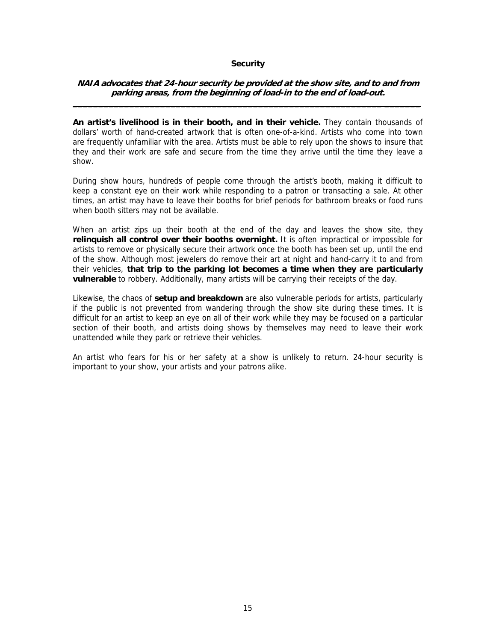#### **Security**

#### **NAIA advocates that 24-hour security be provided at the show site, and to and from parking areas, from the beginning of load-in to the end of load-out. \_\_\_\_\_\_\_\_\_\_\_\_\_\_\_\_\_\_\_\_\_\_\_\_\_\_\_\_\_\_\_\_\_\_\_\_\_\_\_\_\_\_\_\_\_\_\_\_\_\_\_\_\_\_\_\_\_\_\_\_ \_\_\_\_\_\_\_**

**An artist's livelihood is in their booth, and in their vehicle.** They contain thousands of dollars' worth of hand-created artwork that is often one-of-a-kind. Artists who come into town are frequently unfamiliar with the area. Artists must be able to rely upon the shows to insure that they and their work are safe and secure from the time they arrive until the time they leave a show.

During show hours, hundreds of people come through the artist's booth, making it difficult to keep a constant eye on their work while responding to a patron or transacting a sale. At other times, an artist may have to leave their booths for brief periods for bathroom breaks or food runs when booth sitters may not be available.

When an artist zips up their booth at the end of the day and leaves the show site, they **relinquish all control over their booths overnight.** It is often impractical or impossible for artists to remove or physically secure their artwork once the booth has been set up, until the end of the show. Although most jewelers do remove their art at night and hand-carry it to and from their vehicles, **that trip to the parking lot becomes a time when they are particularly vulnerable** to robbery. Additionally, many artists will be carrying their receipts of the day.

Likewise, the chaos of **setup and breakdown** are also vulnerable periods for artists, particularly if the public is not prevented from wandering through the show site during these times. It is difficult for an artist to keep an eye on all of their work while they may be focused on a particular section of their booth, and artists doing shows by themselves may need to leave their work unattended while they park or retrieve their vehicles.

An artist who fears for his or her safety at a show is unlikely to return. 24-hour security is important to your show, your artists and your patrons alike.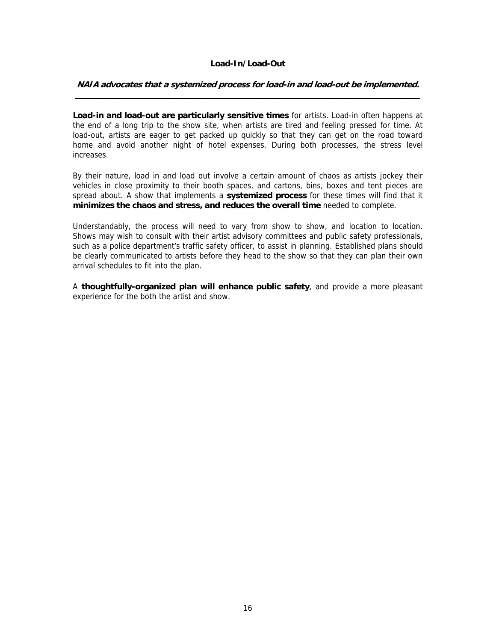# **Load-In/Load-Out**

#### **NAIA advocates that a systemized process for load-in and load-out be implemented. \_\_\_\_\_\_\_\_\_\_\_\_\_\_\_\_\_\_\_\_\_\_\_\_\_\_\_\_\_\_\_\_\_\_\_\_\_\_\_\_\_\_\_\_\_\_\_\_\_\_\_\_\_\_\_\_\_\_\_\_\_\_\_\_\_\_\_**

**Load-in and load-out are particularly sensitive times** for artists. Load-in often happens at the end of a long trip to the show site, when artists are tired and feeling pressed for time. At load-out, artists are eager to get packed up quickly so that they can get on the road toward home and avoid another night of hotel expenses. During both processes, the stress level increases.

By their nature, load in and load out involve a certain amount of chaos as artists jockey their vehicles in close proximity to their booth spaces, and cartons, bins, boxes and tent pieces are spread about. A show that implements a **systemized process** for these times will find that it **minimizes the chaos and stress, and reduces the overall time** needed to complete.

Understandably, the process will need to vary from show to show, and location to location. Shows may wish to consult with their artist advisory committees and public safety professionals, such as a police department's traffic safety officer, to assist in planning. Established plans should be clearly communicated to artists before they head to the show so that they can plan their own arrival schedules to fit into the plan.

A **thoughtfully-organized plan will enhance public safety**, and provide a more pleasant experience for the both the artist and show.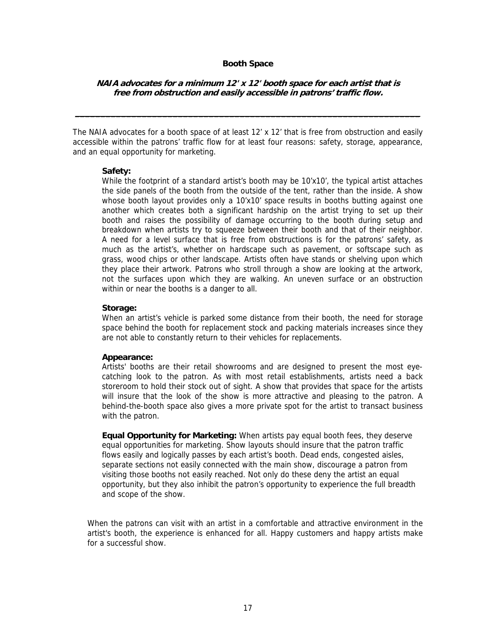#### **Booth Space**

# **NAIA advocates for a minimum 12' x 12' booth space for each artist that is free from obstruction and easily accessible in patrons' traffic flow.**

**\_\_\_\_\_\_\_\_\_\_\_\_\_\_\_\_\_\_\_\_\_\_\_\_\_\_\_\_\_\_\_\_\_\_\_\_\_\_\_\_\_\_\_\_\_\_\_\_\_\_\_\_\_\_\_\_\_\_\_\_\_\_\_\_\_\_\_**

The NAIA advocates for a booth space of at least 12' x 12' that is free from obstruction and easily accessible within the patrons' traffic flow for at least four reasons: safety, storage, appearance, and an equal opportunity for marketing.

#### **Safety:**

While the footprint of a standard artist's booth may be 10'x10', the typical artist attaches the side panels of the booth from the outside of the tent, rather than the inside. A show whose booth layout provides only a 10'x10' space results in booths butting against one another which creates both a significant hardship on the artist trying to set up their booth and raises the possibility of damage occurring to the booth during setup and breakdown when artists try to squeeze between their booth and that of their neighbor. A need for a level surface that is free from obstructions is for the patrons' safety, as much as the artist's, whether on hardscape such as pavement, or softscape such as grass, wood chips or other landscape. Artists often have stands or shelving upon which they place their artwork. Patrons who stroll through a show are looking at the artwork, not the surfaces upon which they are walking. An uneven surface or an obstruction within or near the booths is a danger to all.

#### **Storage:**

When an artist's vehicle is parked some distance from their booth, the need for storage space behind the booth for replacement stock and packing materials increases since they are not able to constantly return to their vehicles for replacements.

#### **Appearance:**

Artists' booths are their retail showrooms and are designed to present the most eyecatching look to the patron. As with most retail establishments, artists need a back storeroom to hold their stock out of sight. A show that provides that space for the artists will insure that the look of the show is more attractive and pleasing to the patron. A behind-the-booth space also gives a more private spot for the artist to transact business with the patron.

**Equal Opportunity for Marketing:** When artists pay equal booth fees, they deserve equal opportunities for marketing. Show layouts should insure that the patron traffic flows easily and logically passes by each artist's booth. Dead ends, congested aisles, separate sections not easily connected with the main show, discourage a patron from visiting those booths not easily reached. Not only do these deny the artist an equal opportunity, but they also inhibit the patron's opportunity to experience the full breadth and scope of the show.

When the patrons can visit with an artist in a comfortable and attractive environment in the artist's booth, the experience is enhanced for all. Happy customers and happy artists make for a successful show.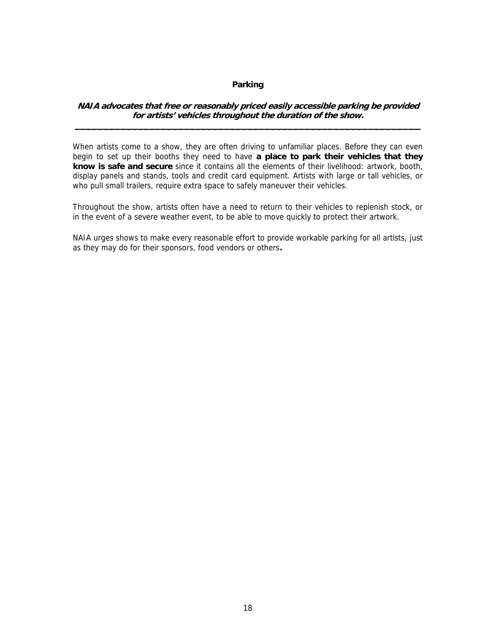# **Parking**

#### **NAIA advocates that free or reasonably priced easily accessible parking be provided for artists' vehicles throughout the duration of the show. \_\_\_\_\_\_\_\_\_\_\_\_\_\_\_\_\_\_\_\_\_\_\_\_\_\_\_\_\_\_\_\_\_\_\_\_\_\_\_\_\_\_\_\_\_\_\_\_\_\_\_\_\_\_\_\_\_\_\_\_**

When artists come to a show, they are often driving to unfamiliar places. Before they can even begin to set up their booths they need to have **a place to park their vehicles that they know is safe and secure** since it contains all the elements of their livelihood: artwork, booth, display panels and stands, tools and credit card equipment. Artists with large or tall vehicles, or who pull small trailers, require extra space to safely maneuver their vehicles.

Throughout the show, artists often have a need to return to their vehicles to replenish stock, or in the event of a severe weather event, to be able to move quickly to protect their artwork.

NAIA urges shows to make every reasonable effort to provide workable parking for all artists, just as they may do for their sponsors, food vendors or others**.**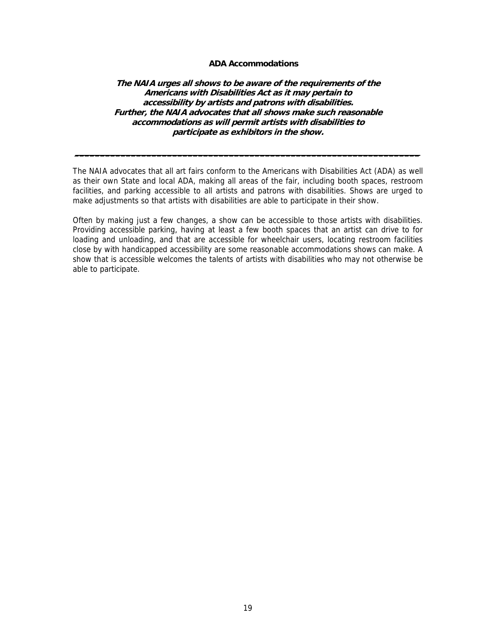#### **ADA Accommodations**

**The NAIA urges all shows to be aware of the requirements of the Americans with Disabilities Act as it may pertain to accessibility by artists and patrons with disabilities. Further, the NAIA advocates that all shows make such reasonable accommodations as will permit artists with disabilities to participate as exhibitors in the show.** 

The NAIA advocates that all art fairs conform to the Americans with Disabilities Act (ADA) as well as their own State and local ADA, making all areas of the fair, including booth spaces, restroom facilities, and parking accessible to all artists and patrons with disabilities. Shows are urged to make adjustments so that artists with disabilities are able to participate in their show.

**\_\_\_\_\_\_\_\_\_\_\_\_\_\_\_\_\_\_\_\_\_\_\_\_\_\_\_\_\_\_\_\_\_\_\_\_\_\_\_\_\_\_\_\_\_\_\_\_\_\_\_\_\_\_\_\_\_\_\_\_\_\_\_\_\_\_\_**

Often by making just a few changes, a show can be accessible to those artists with disabilities. Providing accessible parking, having at least a few booth spaces that an artist can drive to for loading and unloading, and that are accessible for wheelchair users, locating restroom facilities close by with handicapped accessibility are some reasonable accommodations shows can make. A show that is accessible welcomes the talents of artists with disabilities who may not otherwise be able to participate.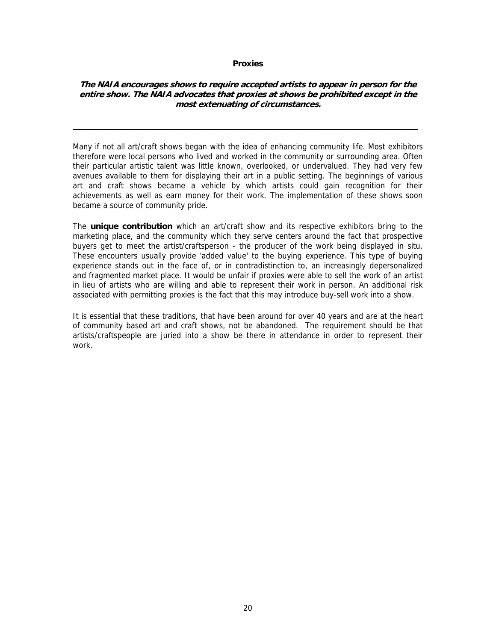#### **Proxies**

## **The NAIA encourages shows to require accepted artists to appear in person for the entire show. The NAIA advocates that proxies at shows be prohibited except in the most extenuating of circumstances.**

**\_\_\_\_\_\_\_\_\_\_\_\_\_\_\_\_\_\_\_\_\_\_\_\_\_\_\_\_\_\_\_\_\_\_\_\_\_\_\_\_\_\_\_\_\_\_\_\_\_\_\_\_\_\_\_\_\_\_\_\_\_\_\_\_\_\_\_** 

Many if not all art/craft shows began with the idea of enhancing community life. Most exhibitors therefore were local persons who lived and worked in the community or surrounding area. Often their particular artistic talent was little known, overlooked, or undervalued. They had very few avenues available to them for displaying their art in a public setting. The beginnings of various art and craft shows became a vehicle by which artists could gain recognition for their achievements as well as earn money for their work. The implementation of these shows soon became a source of community pride.

The **unique contribution** which an art/craft show and its respective exhibitors bring to the marketing place, and the community which they serve centers around the fact that prospective buyers get to meet the artist/craftsperson - the producer of the work being displayed in situ. These encounters usually provide 'added value' to the buying experience. This type of buying experience stands out in the face of, or in contradistinction to, an increasingly depersonalized and fragmented market place. It would be unfair if proxies were able to sell the work of an artist in lieu of artists who are willing and able to represent their work in person. An additional risk associated with permitting proxies is the fact that this may introduce buy-sell work into a show.

It is essential that these traditions, that have been around for over 40 years and are at the heart of community based art and craft shows, not be abandoned. The requirement should be that artists/craftspeople are juried into a show be there in attendance in order to represent their work.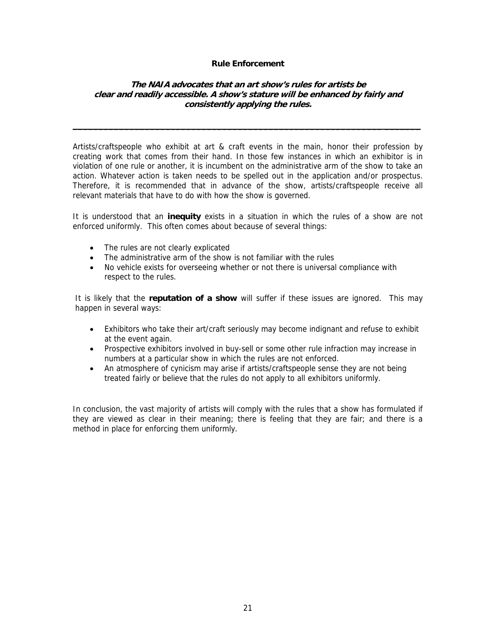#### **Rule Enforcement**

# **The NAIA advocates that an art show's rules for artists be clear and readily accessible. A show's stature will be enhanced by fairly and consistently applying the rules.**

**\_\_\_\_\_\_\_\_\_\_\_\_\_\_\_\_\_\_\_\_\_\_\_\_\_\_\_\_\_\_\_\_\_\_\_\_\_\_\_\_\_\_\_\_\_\_\_\_\_\_\_\_\_\_\_\_\_\_\_\_ \_\_\_\_\_\_\_**

Artists/craftspeople who exhibit at art & craft events in the main, honor their profession by creating work that comes from their hand. In those few instances in which an exhibitor is in violation of one rule or another, it is incumbent on the administrative arm of the show to take an action. Whatever action is taken needs to be spelled out in the application and/or prospectus. Therefore, it is recommended that in advance of the show, artists/craftspeople receive all relevant materials that have to do with how the show is governed.

It is understood that an **inequity** exists in a situation in which the rules of a show are not enforced uniformly. This often comes about because of several things:

- The rules are not clearly explicated
- The administrative arm of the show is not familiar with the rules
- No vehicle exists for overseeing whether or not there is universal compliance with respect to the rules.

It is likely that the **reputation of a show** will suffer if these issues are ignored. This may happen in several ways:

- Exhibitors who take their art/craft seriously may become indignant and refuse to exhibit at the event again.
- Prospective exhibitors involved in buy-sell or some other rule infraction may increase in numbers at a particular show in which the rules are not enforced.
- An atmosphere of cynicism may arise if artists/craftspeople sense they are not being treated fairly or believe that the rules do not apply to all exhibitors uniformly.

In conclusion, the vast majority of artists will comply with the rules that a show has formulated if they are viewed as clear in their meaning; there is feeling that they are fair; and there is a method in place for enforcing them uniformly.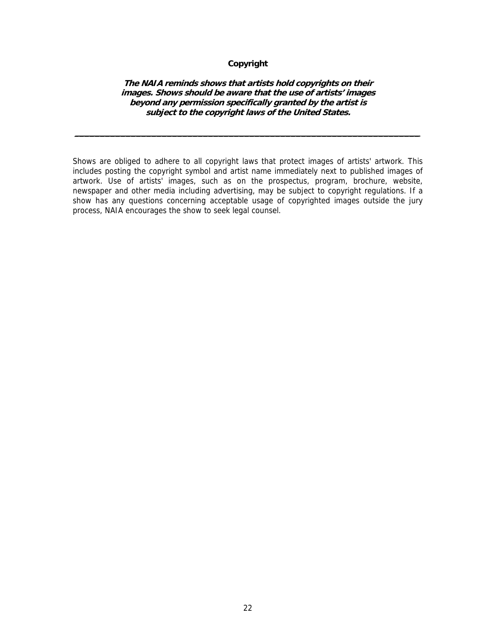# **Copyright**

#### **The NAIA reminds shows that artists hold copyrights on their images. Shows should be aware that the use of artists' images beyond any permission specifically granted by the artist is subject to the copyright laws of the United States.**

**\_\_\_\_\_\_\_\_\_\_\_\_\_\_\_\_\_\_\_\_\_\_\_\_\_\_\_\_\_\_\_\_\_\_\_\_\_\_\_\_\_\_\_\_\_\_\_\_\_\_\_\_\_\_\_\_\_\_\_\_\_\_\_\_\_\_\_**

Shows are obliged to adhere to all copyright laws that protect images of artists' artwork. This includes posting the copyright symbol and artist name immediately next to published images of artwork. Use of artists' images, such as on the prospectus, program, brochure, website, newspaper and other media including advertising, may be subject to copyright regulations. If a show has any questions concerning acceptable usage of copyrighted images outside the jury process, NAIA encourages the show to seek legal counsel.